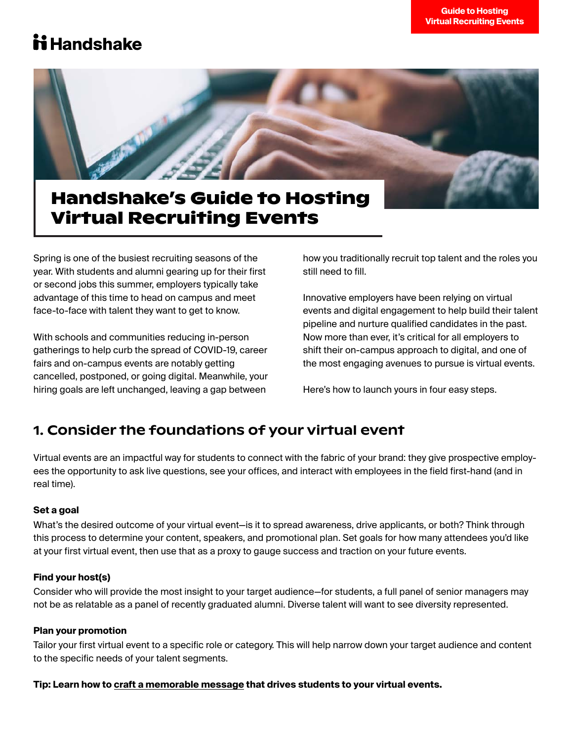## ii Handshake



## **Handshake's Guide to Hosting Virtual Recruiting Events**

Spring is one of the busiest recruiting seasons of the year. With students and alumni gearing up for their first or second jobs this summer, employers typically take advantage of this time to head on campus and meet face-to-face with talent they want to get to know.

With schools and communities reducing in-person gatherings to help curb the spread of COVID-19, career fairs and on-campus events are notably getting cancelled, postponed, or going digital. Meanwhile, your hiring goals are left unchanged, leaving a gap between

how you traditionally recruit top talent and the roles you still need to fill.

Innovative employers have been relying on virtual events and digital engagement to help build their talent pipeline and nurture qualified candidates in the past. Now more than ever, it's critical for all employers to shift their on-campus approach to digital, and one of the most engaging avenues to pursue is virtual events.

Here's how to launch yours in four easy steps.

### 1. Consider the foundations of your virtual event

Virtual events are an impactful way for students to connect with the fabric of your brand: they give prospective employees the opportunity to ask live questions, see your offices, and interact with employees in the field first-hand (and in real time).

### **Set a goal**

What's the desired outcome of your virtual event—is it to spread awareness, drive applicants, or both? Think through this process to determine your content, speakers, and promotional plan. Set goals for how many attendees you'd like at your first virtual event, then use that as a proxy to gauge success and traction on your future events.

### **Find your host(s)**

Consider who will provide the most insight to your target audience—for students, a full panel of senior managers may not be as relatable as a panel of recently graduated alumni. Diverse talent will want to see diversity represented.

### **Plan your promotion**

Tailor your first virtual event to a specific role or category. This will help narrow down your target audience and content to the specific needs of your talent segments.

### **Tip: Learn how to [craft a memorable message](https://go.joinhandshake.com/rs/390-ZTF-353/images/Handshake_2020_Personalizing_Communications.pdf?aliId=eyJpIjoiaWhwQzYwSjV1eFZ1ak1uQiIsInQiOiJNVm9uT2JyNWRJa1QySjJXaGlJZGh3PT0ifQ%253D%253D) that drives students to your virtual events.**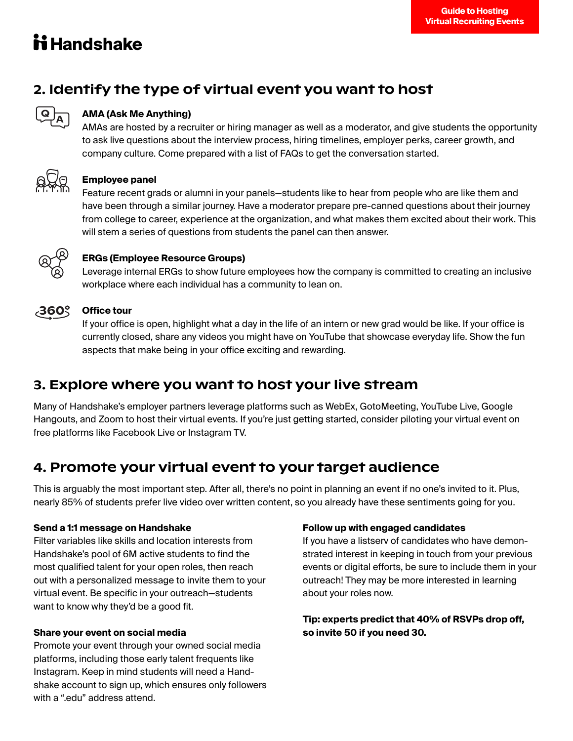# **ii Handshake**

## 2. Identify the type of virtual event you want to host



### **AMA (Ask Me Anything)**

AMAs are hosted by a recruiter or hiring manager as well as a moderator, and give students the opportunity to ask live questions about the interview process, hiring timelines, employer perks, career growth, and company culture. Come prepared with a list of FAQs to get the conversation started.



### **Employee panel**

Feature recent grads or alumni in your panels—students like to hear from people who are like them and have been through a similar journey. Have a moderator prepare pre-canned questions about their journey from college to career, experience at the organization, and what makes them excited about their work. This will stem a series of questions from students the panel can then answer.



### **ERGs (Employee Resource Groups)**

Leverage internal ERGs to show future employees how the company is committed to creating an inclusive workplace where each individual has a community to lean on.



### **Office tour**

If your office is open, highlight what a day in the life of an intern or new grad would be like. If your office is currently closed, share any videos you might have on YouTube that showcase everyday life. Show the fun aspects that make being in your office exciting and rewarding.

### 3. Explore where you want to host your live stream

Many of Handshake's employer partners leverage platforms such as WebEx, GotoMeeting, YouTube Live, Google Hangouts, and Zoom to host their virtual events. If you're just getting started, consider piloting your virtual event on free platforms like Facebook Live or Instagram TV.

### 4. Promote your virtual event to your target audience

This is arguably the most important step. After all, there's no point in planning an event if no one's invited to it. Plus, nearly 85% of students prefer live video over written content, so you already have these sentiments going for you.

### **Send a 1:1 message on Handshake**

Filter variables like skills and location interests from Handshake's pool of 6M active students to find the most qualified talent for your open roles, then reach out with a personalized message to invite them to your virtual event. Be specific in your outreach—students want to know why they'd be a good fit.

### **Share your event on social media**

Promote your event through your owned social media platforms, including those early talent frequents like Instagram. Keep in mind students will need a Handshake account to sign up, which ensures only followers with a ".edu" address attend.

### **Follow up with engaged candidates**

If you have a listserv of candidates who have demonstrated interest in keeping in touch from your previous events or digital efforts, be sure to include them in your outreach! They may be more interested in learning about your roles now.

### **Tip: experts predict that 40% of RSVPs drop off, so invite 50 if you need 30.**